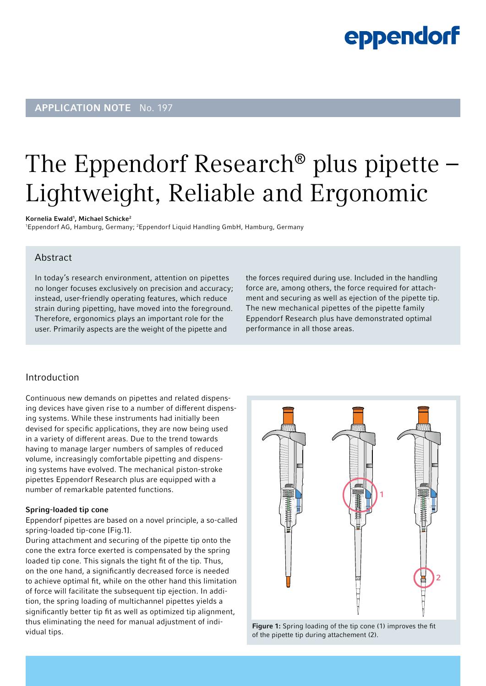## **eppendorf**

### **APPLICATION NOTE** No. 197

## The Eppendorf Research® plus pipette – Lightweight, Reliable and Ergonomic

#### Kornelia Ewald<sup>1</sup>, Michael Schicke<sup>2</sup>

<sup>1</sup>Eppendorf AG, Hamburg, Germany; <sup>2</sup>Eppendorf Liquid Handling GmbH, Hamburg, Germany

### Abstract

In today's research environment, attention on pipettes no longer focuses exclusively on precision and accuracy; instead, user-friendly operating features, which reduce strain during pipetting, have moved into the foreground. Therefore, ergonomics plays an important role for the user. Primarily aspects are the weight of the pipette and

the forces required during use. Included in the handling force are, among others, the force required for attachment and securing as well as ejection of the pipette tip. The new mechanical pipettes of the pipette family Eppendorf Research plus have demonstrated optimal performance in all those areas.

### Introduction

Continuous new demands on pipettes and related dispensing devices have given rise to a number of different dispensing systems. While these instruments had initially been devised for specific applications, they are now being used in a variety of different areas. Due to the trend towards having to manage larger numbers of samples of reduced volume, increasingly comfortable pipetting and dispensing systems have evolved. The mechanical piston-stroke pipettes Eppendorf Research plus are equipped with a number of remarkable patented functions.

### Spring-loaded tip cone

Eppendorf pipettes are based on a novel principle, a so-called spring-loaded tip-cone [Fig.1].

During attachment and securing of the pipette tip onto the cone the extra force exerted is compensated by the spring loaded tip cone. This signals the tight fit of the tip. Thus, on the one hand, a significantly decreased force is needed to achieve optimal fit, while on the other hand this limitation of force will facilitate the subsequent tip ejection. In addition, the spring loading of multichannel pipettes yields a significantly better tip fit as well as optimized tip alignment, thus eliminating the need for manual adjustment of individual tips.



Figure 1: Spring loading of the tip cone (1) improves the fit of the pipette tip during attachement (2).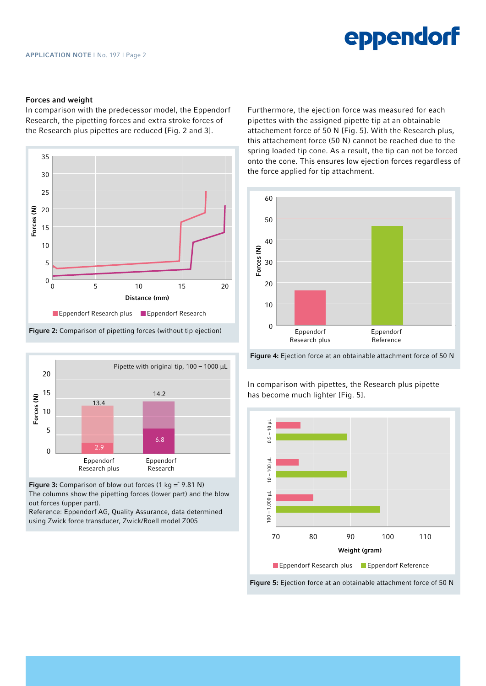## eppendorf

#### Forces and weight

In comparison with the predecessor model, the Eppendorf Research, the pipetting forces and extra stroke forces of the Research plus pipettes are reduced [Fig. 2 and 3].





Figure 3: Comparison of blow out forces (1 kg =  $\degree$  9.81 N) The columns show the pipetting forces (lower part) and the blow out forces (upper part). Reference: Eppendorf AG, Quality Assurance, data determined

using Zwick force transducer, Zwick/Roell model Z005

Furthermore, the ejection force was measured for each pipettes with the assigned pipette tip at an obtainable attachement force of 50 N [Fig. 5]. With the Research plus, this attachement force (50 N) cannot be reached due to the spring loaded tip cone. As a result, the tip can not be forced onto the cone. This ensures low ejection forces regardless of the force applied for tip attachment.



Figure 4: Ejection force at an obtainable attachment force of 50 N

In comparison with pipettes, the Research plus pipette has become much lighter [Fig. 5].

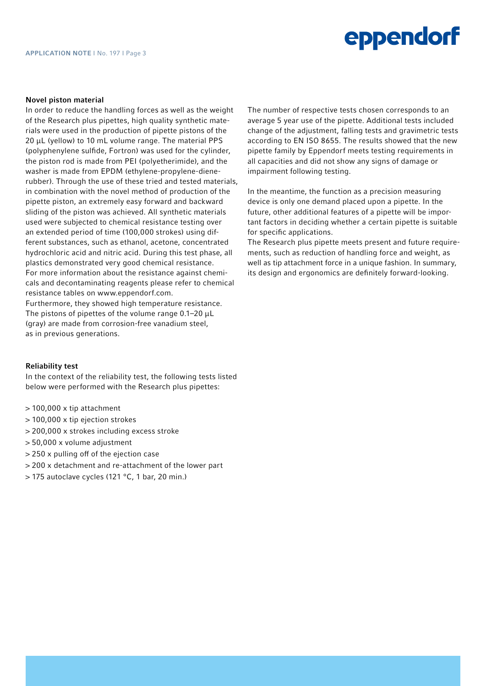# eppendorf

#### Novel piston material

In order to reduce the handling forces as well as the weight of the Research plus pipettes, high quality synthetic materials were used in the production of pipette pistons of the 20 μL (yellow) to 10 mL volume range. The material PPS (polyphenylene sulfide, Fortron) was used for the cylinder, the piston rod is made from PEI (polyetherimide), and the washer is made from EPDM (ethylene-propylene-dienerubber). Through the use of these tried and tested materials, in combination with the novel method of production of the pipette piston, an extremely easy forward and backward sliding of the piston was achieved. All synthetic materials used were subjected to chemical resistance testing over an extended period of time (100,000 strokes) using different substances, such as ethanol, acetone, concentrated hydrochloric acid and nitric acid. During this test phase, all plastics demonstrated very good chemical resistance. For more information about the resistance against chemicals and decontaminating reagents please refer to chemical resistance tables on www.eppendorf.com.

Furthermore, they showed high temperature resistance. The pistons of pipettes of the volume range 0.1–20 μL (gray) are made from corrosion-free vanadium steel, as in previous generations.

#### Reliability test

In the context of the reliability test, the following tests listed below were performed with the Research plus pipettes:

- > 100,000 x tip attachment
- > 100,000 x tip ejection strokes
- > 200,000 x strokes including excess stroke
- > 50,000 x volume adjustment
- > 250 x pulling off of the ejection case
- > 200 x detachment and re-attachment of the lower part
- > 175 autoclave cycles (121 °C, 1 bar, 20 min.)

The number of respective tests chosen corresponds to an average 5 year use of the pipette. Additional tests included change of the adjustment, falling tests and gravimetric tests according to EN ISO 8655. The results showed that the new pipette family by Eppendorf meets testing requirements in all capacities and did not show any signs of damage or impairment following testing.

In the meantime, the function as a precision measuring device is only one demand placed upon a pipette. In the future, other additional features of a pipette will be important factors in deciding whether a certain pipette is suitable for specific applications.

The Research plus pipette meets present and future requirements, such as reduction of handling force and weight, as well as tip attachment force in a unique fashion. In summary, its design and ergonomics are definitely forward-looking.